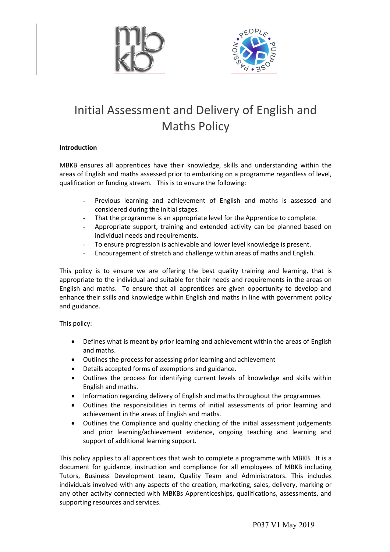



# Initial Assessment and Delivery of English and Maths Policy

#### **Introduction**

MBKB ensures all apprentices have their knowledge, skills and understanding within the areas of English and maths assessed prior to embarking on a programme regardless of level, qualification or funding stream. This is to ensure the following:

- Previous learning and achievement of English and maths is assessed and considered during the initial stages.
- That the programme is an appropriate level for the Apprentice to complete.
- Appropriate support, training and extended activity can be planned based on individual needs and requirements.
- To ensure progression is achievable and lower level knowledge is present.
- Encouragement of stretch and challenge within areas of maths and English.

This policy is to ensure we are offering the best quality training and learning, that is appropriate to the individual and suitable for their needs and requirements in the areas on English and maths. To ensure that all apprentices are given opportunity to develop and enhance their skills and knowledge within English and maths in line with government policy and guidance.

This policy:

- Defines what is meant by prior learning and achievement within the areas of English and maths.
- Outlines the process for assessing prior learning and achievement
- Details accepted forms of exemptions and guidance.
- Outlines the process for identifying current levels of knowledge and skills within English and maths.
- Information regarding delivery of English and maths throughout the programmes
- Outlines the responsibilities in terms of initial assessments of prior learning and achievement in the areas of English and maths.
- Outlines the Compliance and quality checking of the initial assessment judgements and prior learning/achievement evidence, ongoing teaching and learning and support of additional learning support.

This policy applies to all apprentices that wish to complete a programme with MBKB. It is a document for guidance, instruction and compliance for all employees of MBKB including Tutors, Business Development team, Quality Team and Administrators. This includes individuals involved with any aspects of the creation, marketing, sales, delivery, marking or any other activity connected with MBKBs Apprenticeships, qualifications, assessments, and supporting resources and services.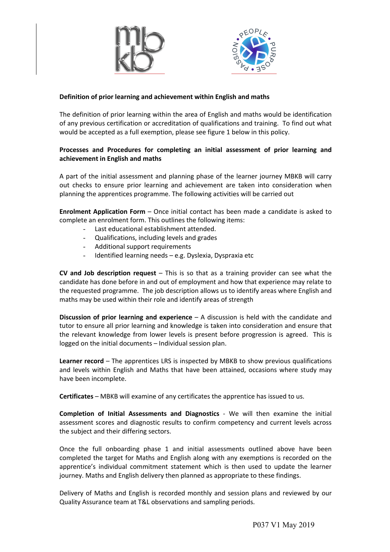



# **Definition of prior learning and achievement within English and maths**

The definition of prior learning within the area of English and maths would be identification of any previous certification or accreditation of qualifications and training. To find out what would be accepted as a full exemption, please see figure 1 below in this policy.

#### **Processes and Procedures for completing an initial assessment of prior learning and achievement in English and maths**

A part of the initial assessment and planning phase of the learner journey MBKB will carry out checks to ensure prior learning and achievement are taken into consideration when planning the apprentices programme. The following activities will be carried out

**Enrolment Application Form** – Once initial contact has been made a candidate is asked to complete an enrolment form. This outlines the following items:

- Last educational establishment attended.
- Qualifications, including levels and grades
- Additional support requirements
- Identified learning needs e.g. Dyslexia, Dyspraxia etc

**CV and Job description request** – This is so that as a training provider can see what the candidate has done before in and out of employment and how that experience may relate to the requested programme. The job description allows us to identify areas where English and maths may be used within their role and identify areas of strength

**Discussion of prior learning and experience** – A discussion is held with the candidate and tutor to ensure all prior learning and knowledge is taken into consideration and ensure that the relevant knowledge from lower levels is present before progression is agreed. This is logged on the initial documents – Individual session plan.

**Learner record** – The apprentices LRS is inspected by MBKB to show previous qualifications and levels within English and Maths that have been attained, occasions where study may have been incomplete.

**Certificates** – MBKB will examine of any certificates the apprentice has issued to us.

**Completion of Initial Assessments and Diagnostics** - We will then examine the initial assessment scores and diagnostic results to confirm competency and current levels across the subject and their differing sectors.

Once the full onboarding phase 1 and initial assessments outlined above have been completed the target for Maths and English along with any exemptions is recorded on the apprentice's individual commitment statement which is then used to update the learner journey. Maths and English delivery then planned as appropriate to these findings.

Delivery of Maths and English is recorded monthly and session plans and reviewed by our Quality Assurance team at T&L observations and sampling periods.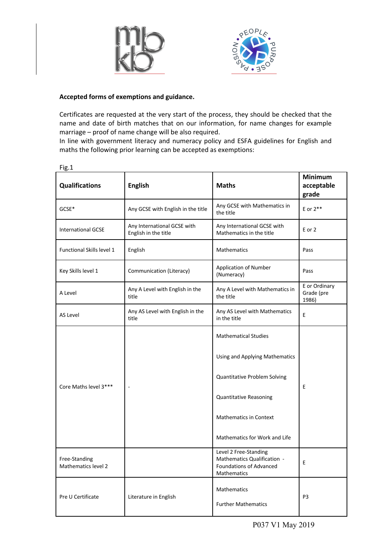



# **Accepted forms of exemptions and guidance.**

Certificates are requested at the very start of the process, they should be checked that the name and date of birth matches that on our information, for name changes for example marriage – proof of name change will be also required.

In line with government literacy and numeracy policy and ESFA guidelines for English and maths the following prior learning can be accepted as exemptions:

| <b>Qualifications</b>                | <b>English</b>                                      | <b>Maths</b>                                                                                   | <b>Minimum</b><br>acceptable<br>grade |
|--------------------------------------|-----------------------------------------------------|------------------------------------------------------------------------------------------------|---------------------------------------|
| GCSE*                                | Any GCSE with English in the title                  | Any GCSE with Mathematics in<br>the title                                                      | E or $2**$                            |
| <b>International GCSE</b>            | Any International GCSE with<br>English in the title | Any International GCSE with<br>Mathematics in the title                                        | E or 2                                |
| Functional Skills level 1            | English                                             | Mathematics                                                                                    | Pass                                  |
| Key Skills level 1                   | Communication (Literacy)                            | <b>Application of Number</b><br>(Numeracy)                                                     | Pass                                  |
| A Level                              | Any A Level with English in the<br>title            | Any A Level with Mathematics in<br>the title                                                   | E or Ordinary<br>Grade (pre<br>1986)  |
| AS Level                             | Any AS Level with English in the<br>title           | Any AS Level with Mathematics<br>in the title                                                  | E                                     |
| Core Maths level 3***                |                                                     | <b>Mathematical Studies</b>                                                                    | E                                     |
|                                      |                                                     | Using and Applying Mathematics                                                                 |                                       |
|                                      |                                                     | Quantitative Problem Solving                                                                   |                                       |
|                                      |                                                     | <b>Quantitative Reasoning</b>                                                                  |                                       |
|                                      |                                                     | <b>Mathematics in Context</b>                                                                  |                                       |
|                                      |                                                     | Mathematics for Work and Life                                                                  |                                       |
| Free-Standing<br>Mathematics level 2 |                                                     | Level 2 Free-Standing<br>Mathematics Qualification -<br>Foundations of Advanced<br>Mathematics | Ε                                     |
| Pre U Certificate                    | Literature in English                               | Mathematics<br><b>Further Mathematics</b>                                                      | P <sub>3</sub>                        |

Fig.1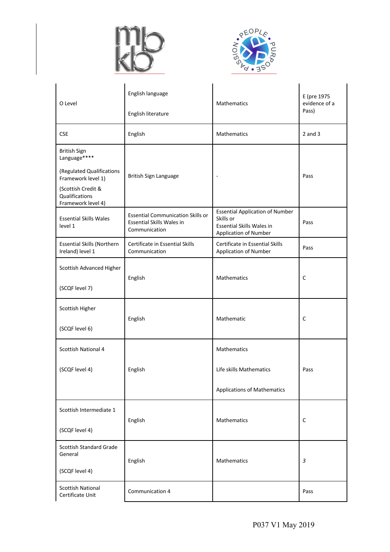



| O Level                                                    | English language                                                                              | Mathematics                                                                                                      | E (pre 1975<br>evidence of a<br>Pass) |
|------------------------------------------------------------|-----------------------------------------------------------------------------------------------|------------------------------------------------------------------------------------------------------------------|---------------------------------------|
|                                                            | English literature                                                                            |                                                                                                                  |                                       |
| <b>CSE</b>                                                 | English                                                                                       | Mathematics                                                                                                      | $2$ and $3$                           |
| British Sign<br>Language****                               |                                                                                               |                                                                                                                  |                                       |
| (Regulated Qualifications<br>Framework level 1)            | British Sign Language                                                                         | $\blacksquare$                                                                                                   | Pass                                  |
| (Scottish Credit &<br>Qualifications<br>Framework level 4) |                                                                                               |                                                                                                                  |                                       |
| <b>Essential Skills Wales</b><br>level 1                   | <b>Essential Communication Skills or</b><br><b>Essential Skills Wales in</b><br>Communication | <b>Essential Application of Number</b><br>Skills or<br>Essential Skills Wales in<br><b>Application of Number</b> | Pass                                  |
| <b>Essential Skills (Northern</b><br>Ireland) level 1      | Certificate in Essential Skills<br>Communication                                              | Certificate in Essential Skills<br><b>Application of Number</b>                                                  | Pass                                  |
| Scottish Advanced Higher                                   | English                                                                                       | Mathematics                                                                                                      | C                                     |
| (SCQF level 7)                                             |                                                                                               |                                                                                                                  |                                       |
| Scottish Higher                                            |                                                                                               |                                                                                                                  |                                       |
| (SCQF level 6)                                             | English                                                                                       | Mathematic                                                                                                       | C                                     |
| <b>Scottish National 4</b>                                 |                                                                                               | Mathematics                                                                                                      |                                       |
| (SCQF level 4)                                             | English                                                                                       | Life skills Mathematics                                                                                          | Pass                                  |
|                                                            |                                                                                               | <b>Applications of Mathematics</b>                                                                               |                                       |
| Scottish Intermediate 1                                    |                                                                                               | Mathematics                                                                                                      | C                                     |
| (SCQF level 4)                                             | English                                                                                       |                                                                                                                  |                                       |
| <b>Scottish Standard Grade</b><br>General                  | English                                                                                       | Mathematics                                                                                                      |                                       |
| (SCQF level 4)                                             |                                                                                               |                                                                                                                  | 3                                     |
| <b>Scottish National</b><br>Certificate Unit               | Communication 4                                                                               |                                                                                                                  | Pass                                  |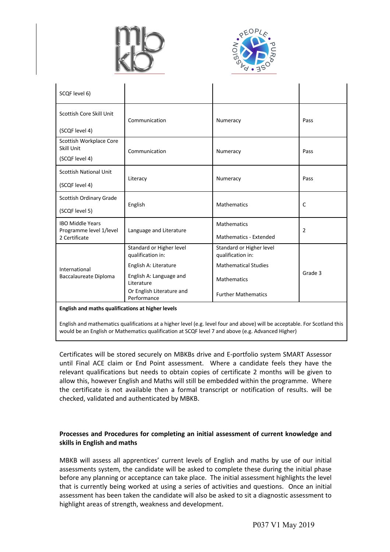



| SCQF level 6)                                     |                                               |                                               |                |  |  |
|---------------------------------------------------|-----------------------------------------------|-----------------------------------------------|----------------|--|--|
| Scottish Core Skill Unit                          | Communication                                 | Numeracy                                      | Pass           |  |  |
| (SCQF level 4)                                    |                                               |                                               |                |  |  |
| Scottish Workplace Core<br>Skill Unit             | Communication                                 | Numeracy                                      | Pass           |  |  |
| (SCQF level 4)                                    |                                               |                                               |                |  |  |
| <b>Scottish National Unit</b>                     | Literacy                                      | Numeracy                                      | Pass           |  |  |
| (SCQF level 4)                                    |                                               |                                               |                |  |  |
| Scottish Ordinary Grade                           | English                                       | <b>Mathematics</b>                            | C              |  |  |
| (SCQF level 5)                                    |                                               |                                               |                |  |  |
| <b>IBO Middle Years</b>                           |                                               | <b>Mathematics</b>                            | $\overline{2}$ |  |  |
| Programme level 1/level<br>2 Certificate          | Language and Literature                       | Mathematics - Extended                        |                |  |  |
| International<br>Baccalaureate Diploma            | Standard or Higher level<br>qualification in: | Standard or Higher level<br>qualification in: |                |  |  |
|                                                   | English A: Literature                         | <b>Mathematical Studies</b>                   | Grade 3        |  |  |
|                                                   | English A: Language and<br>Literature         | <b>Mathematics</b>                            |                |  |  |
|                                                   | Or English Literature and<br>Performance      | <b>Further Mathematics</b>                    |                |  |  |
| English and maths qualifications at higher levels |                                               |                                               |                |  |  |

English and mathematics qualifications at a higher level (e.g. level four and above) will be acceptable. For Scotland this would be an English or Mathematics qualification at SCQF level 7 and above (e.g. Advanced Higher)

Certificates will be stored securely on MBKBs drive and E-portfolio system SMART Assessor until Final ACE claim or End Point assessment. Where a candidate feels they have the relevant qualifications but needs to obtain copies of certificate 2 months will be given to allow this, however English and Maths will still be embedded within the programme. Where the certificate is not available then a formal transcript or notification of results. will be checked, validated and authenticated by MBKB.

# **Processes and Procedures for completing an initial assessment of current knowledge and skills in English and maths**

MBKB will assess all apprentices' current levels of English and maths by use of our initial assessments system, the candidate will be asked to complete these during the initial phase before any planning or acceptance can take place. The initial assessment highlights the level that is currently being worked at using a series of activities and questions. Once an initial assessment has been taken the candidate will also be asked to sit a diagnostic assessment to highlight areas of strength, weakness and development.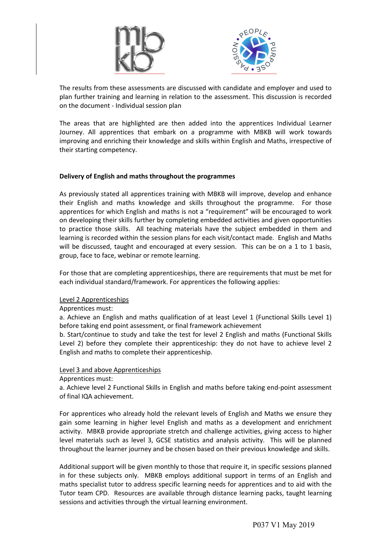



The results from these assessments are discussed with candidate and employer and used to plan further training and learning in relation to the assessment. This discussion is recorded on the document - Individual session plan

The areas that are highlighted are then added into the apprentices Individual Learner Journey. All apprentices that embark on a programme with MBKB will work towards improving and enriching their knowledge and skills within English and Maths, irrespective of their starting competency.

#### **Delivery of English and maths throughout the programmes**

As previously stated all apprentices training with MBKB will improve, develop and enhance their English and maths knowledge and skills throughout the programme. For those apprentices for which English and maths is not a "requirement" will be encouraged to work on developing their skills further by completing embedded activities and given opportunities to practice those skills. All teaching materials have the subject embedded in them and learning is recorded within the session plans for each visit/contact made. English and Maths will be discussed, taught and encouraged at every session. This can be on a 1 to 1 basis, group, face to face, webinar or remote learning.

For those that are completing apprenticeships, there are requirements that must be met for each individual standard/framework. For apprentices the following applies:

# Level 2 Apprenticeships

Apprentices must:

a. Achieve an English and maths qualification of at least Level 1 (Functional Skills Level 1) before taking end point assessment, or final framework achievement

b. Start/continue to study and take the test for level 2 English and maths (Functional Skills Level 2) before they complete their apprenticeship: they do not have to achieve level 2 English and maths to complete their apprenticeship.

#### Level 3 and above Apprenticeships

Apprentices must:

a. Achieve level 2 Functional Skills in English and maths before taking end-point assessment of final IQA achievement.

For apprentices who already hold the relevant levels of English and Maths we ensure they gain some learning in higher level English and maths as a development and enrichment activity. MBKB provide appropriate stretch and challenge activities, giving access to higher level materials such as level 3, GCSE statistics and analysis activity. This will be planned throughout the learner journey and be chosen based on their previous knowledge and skills.

Additional support will be given monthly to those that require it, in specific sessions planned in for these subjects only. MBKB employs additional support in terms of an English and maths specialist tutor to address specific learning needs for apprentices and to aid with the Tutor team CPD. Resources are available through distance learning packs, taught learning sessions and activities through the virtual learning environment.